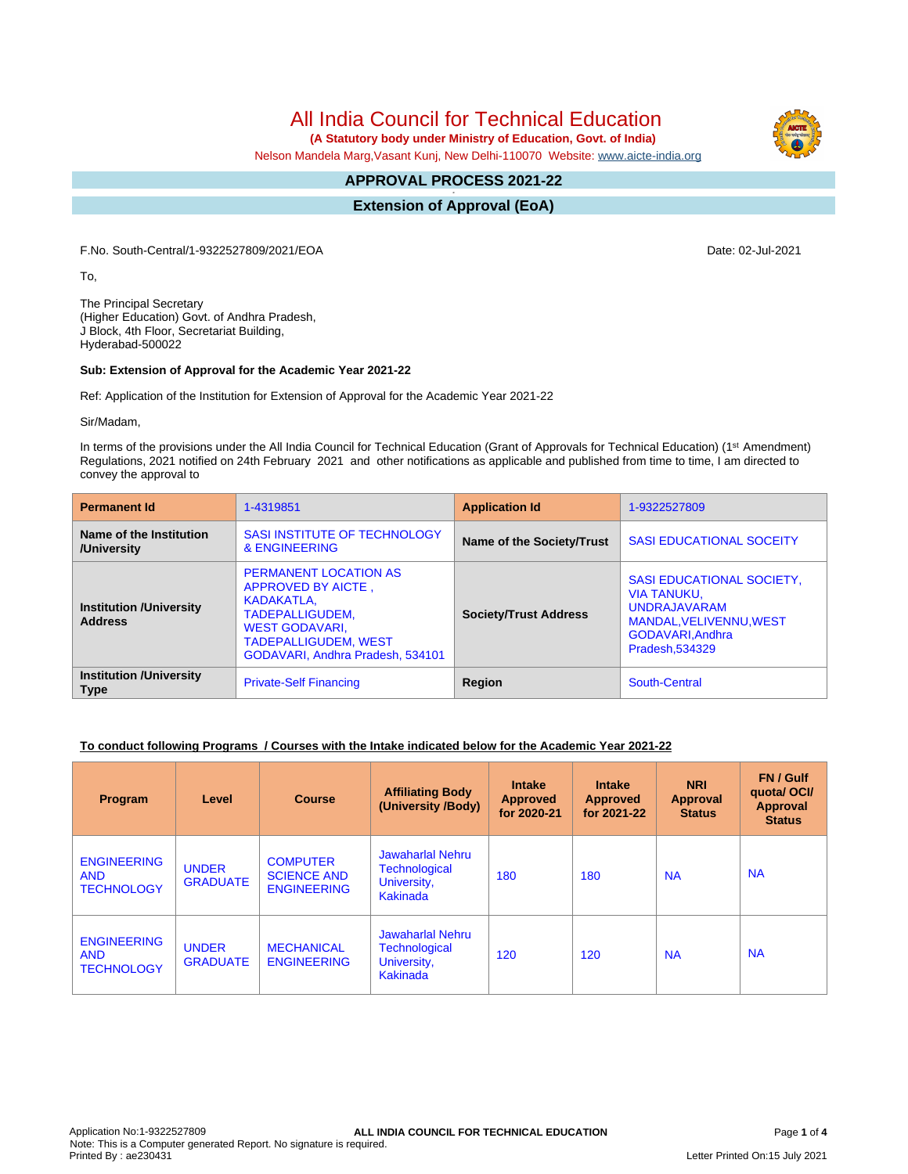# All India Council for Technical Education

 **(A Statutory body under Ministry of Education, Govt. of India)**

Nelson Mandela Marg,Vasant Kunj, New Delhi-110070 Website: [www.aicte-india.org](http://www.aicte-india.org)

#### **APPROVAL PROCESS 2021-22 -**

**Extension of Approval (EoA)**

F.No. South-Central/1-9322527809/2021/EOA Date: 02-Jul-2021

To,

The Principal Secretary (Higher Education) Govt. of Andhra Pradesh, J Block, 4th Floor, Secretariat Building, Hyderabad-500022

#### **Sub: Extension of Approval for the Academic Year 2021-22**

Ref: Application of the Institution for Extension of Approval for the Academic Year 2021-22

Sir/Madam,

In terms of the provisions under the All India Council for Technical Education (Grant of Approvals for Technical Education) (1<sup>st</sup> Amendment) Regulations, 2021 notified on 24th February 2021 and other notifications as applicable and published from time to time, I am directed to convey the approval to

| <b>Permanent Id</b>                              | 1-4319851                                                                                                                                                                       | <b>Application Id</b>        | 1-9322527809                                                                                                                                 |  |
|--------------------------------------------------|---------------------------------------------------------------------------------------------------------------------------------------------------------------------------------|------------------------------|----------------------------------------------------------------------------------------------------------------------------------------------|--|
| Name of the Institution<br>/University           | <b>SASI INSTITUTE OF TECHNOLOGY</b><br>& ENGINEERING                                                                                                                            | Name of the Society/Trust    | <b>SASI EDUCATIONAL SOCEITY</b>                                                                                                              |  |
| <b>Institution /University</b><br><b>Address</b> | <b>PERMANENT LOCATION AS</b><br>APPROVED BY AICTE,<br>KADAKATLA.<br>TADEPALLIGUDEM,<br><b>WEST GODAVARI.</b><br><b>TADEPALLIGUDEM, WEST</b><br>GODAVARI, Andhra Pradesh, 534101 | <b>Society/Trust Address</b> | <b>SASI EDUCATIONAL SOCIETY,</b><br><b>VIA TANUKU.</b><br><b>UNDRAJAVARAM</b><br>MANDAL.VELIVENNU.WEST<br>GODAVARI, Andhra<br>Pradesh.534329 |  |
| <b>Institution /University</b><br><b>Type</b>    | <b>Private-Self Financing</b>                                                                                                                                                   | Region                       | South-Central                                                                                                                                |  |

### **To conduct following Programs / Courses with the Intake indicated below for the Academic Year 2021-22**

| Program                                               | Level                           | <b>Course</b>                                               | <b>Affiliating Body</b><br>(University /Body)                                     | <b>Intake</b><br><b>Approved</b><br>for 2020-21 | <b>Intake</b><br><b>Approved</b><br>for 2021-22 | <b>NRI</b><br>Approval<br><b>Status</b> | FN / Gulf<br>quotal OCI/<br>Approval<br><b>Status</b> |
|-------------------------------------------------------|---------------------------------|-------------------------------------------------------------|-----------------------------------------------------------------------------------|-------------------------------------------------|-------------------------------------------------|-----------------------------------------|-------------------------------------------------------|
| <b>ENGINEERING</b><br><b>AND</b><br><b>TECHNOLOGY</b> | <b>UNDER</b><br><b>GRADUATE</b> | <b>COMPUTER</b><br><b>SCIENCE AND</b><br><b>ENGINEERING</b> | <b>Jawaharlal Nehru</b><br><b>Technological</b><br>University,<br><b>Kakinada</b> | 180                                             | 180                                             | <b>NA</b>                               | <b>NA</b>                                             |
| <b>ENGINEERING</b><br><b>AND</b><br><b>TECHNOLOGY</b> | <b>UNDER</b><br><b>GRADUATE</b> | <b>MECHANICAL</b><br><b>ENGINEERING</b>                     | <b>Jawaharlal Nehru</b><br>Technological<br>University,<br>Kakinada               | 120                                             | 120                                             | <b>NA</b>                               | <b>NA</b>                                             |

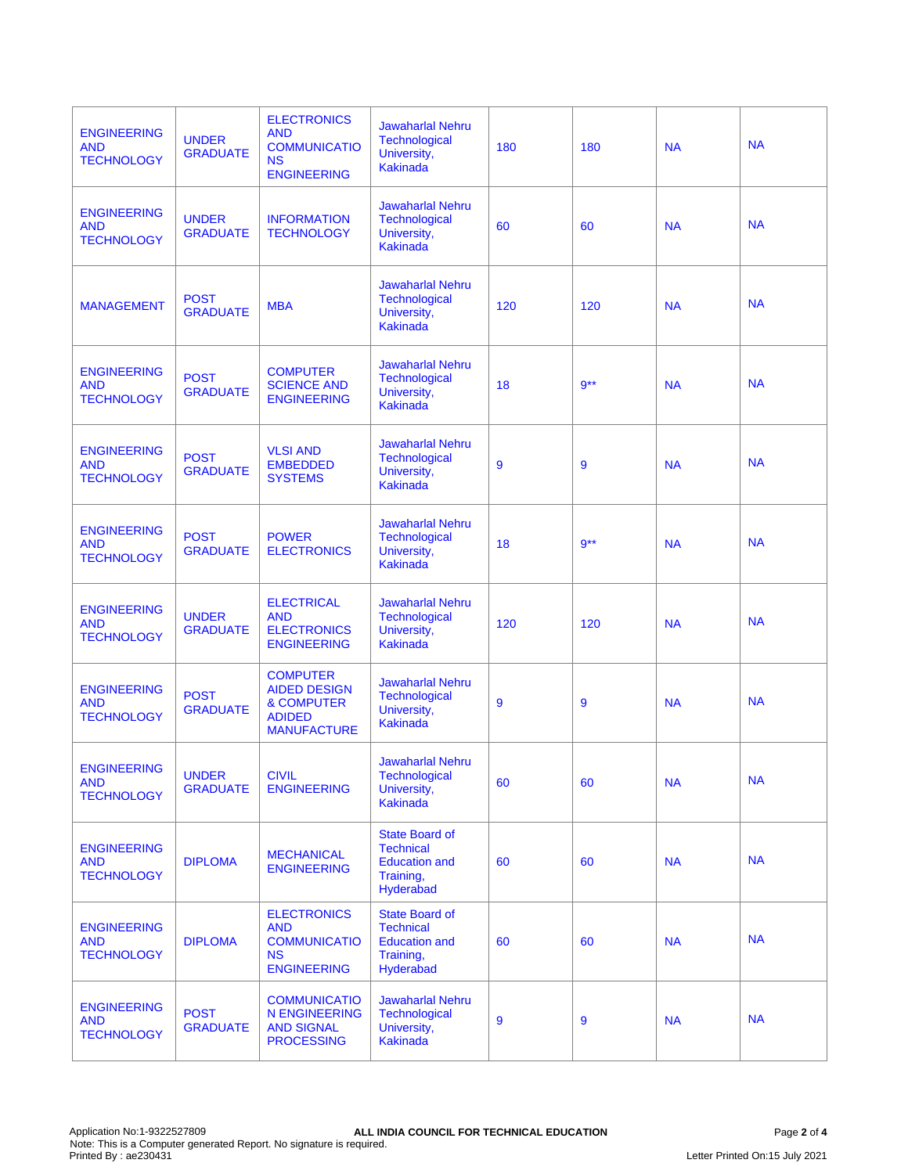| <b>ENGINEERING</b><br><b>AND</b><br><b>TECHNOLOGY</b> | <b>UNDER</b><br><b>GRADUATE</b> | <b>ELECTRONICS</b><br><b>AND</b><br><b>COMMUNICATIO</b><br><b>NS</b><br><b>ENGINEERING</b>             | <b>Jawaharlal Nehru</b><br>Technological<br>University,<br><b>Kakinada</b>           | 180 | 180    | <b>NA</b> | <b>NA</b> |
|-------------------------------------------------------|---------------------------------|--------------------------------------------------------------------------------------------------------|--------------------------------------------------------------------------------------|-----|--------|-----------|-----------|
| <b>ENGINEERING</b><br><b>AND</b><br><b>TECHNOLOGY</b> | <b>UNDER</b><br><b>GRADUATE</b> | <b>INFORMATION</b><br><b>TECHNOLOGY</b>                                                                | <b>Jawaharlal Nehru</b><br><b>Technological</b><br>University,<br><b>Kakinada</b>    | 60  | 60     | <b>NA</b> | <b>NA</b> |
| <b>MANAGEMENT</b>                                     | <b>POST</b><br><b>GRADUATE</b>  | <b>MBA</b>                                                                                             | <b>Jawaharlal Nehru</b><br>Technological<br>University,<br><b>Kakinada</b>           | 120 | 120    | <b>NA</b> | <b>NA</b> |
| <b>ENGINEERING</b><br><b>AND</b><br><b>TECHNOLOGY</b> | <b>POST</b><br><b>GRADUATE</b>  | <b>COMPUTER</b><br><b>SCIENCE AND</b><br><b>ENGINEERING</b>                                            | <b>Jawaharlal Nehru</b><br><b>Technological</b><br>University,<br><b>Kakinada</b>    | 18  | $9***$ | <b>NA</b> | <b>NA</b> |
| <b>ENGINEERING</b><br><b>AND</b><br><b>TECHNOLOGY</b> | <b>POST</b><br><b>GRADUATE</b>  | <b>VLSI AND</b><br><b>EMBEDDED</b><br><b>SYSTEMS</b>                                                   | <b>Jawaharlal Nehru</b><br>Technological<br>University,<br><b>Kakinada</b>           | 9   | 9      | <b>NA</b> | <b>NA</b> |
| <b>ENGINEERING</b><br><b>AND</b><br><b>TECHNOLOGY</b> | <b>POST</b><br><b>GRADUATE</b>  | <b>POWER</b><br><b>ELECTRONICS</b>                                                                     | <b>Jawaharlal Nehru</b><br><b>Technological</b><br>University,<br><b>Kakinada</b>    | 18  | $9***$ | <b>NA</b> | <b>NA</b> |
| <b>ENGINEERING</b><br><b>AND</b><br><b>TECHNOLOGY</b> | <b>UNDER</b><br><b>GRADUATE</b> | <b>ELECTRICAL</b><br><b>AND</b><br><b>ELECTRONICS</b><br><b>ENGINEERING</b>                            | <b>Jawaharlal Nehru</b><br><b>Technological</b><br>University,<br><b>Kakinada</b>    | 120 | 120    | <b>NA</b> | <b>NA</b> |
| <b>ENGINEERING</b><br><b>AND</b><br><b>TECHNOLOGY</b> | <b>POST</b><br><b>GRADUATE</b>  | <b>COMPUTER</b><br><b>AIDED DESIGN</b><br><b>&amp; COMPUTER</b><br><b>ADIDED</b><br><b>MANUFACTURE</b> | <b>Jawaharlal Nehru</b><br>Technological<br>University,<br><b>Kakinada</b>           | 9   | 9      | <b>NA</b> | <b>NA</b> |
| <b>ENGINEERING</b><br><b>AND</b><br><b>TECHNOLOGY</b> | <b>UNDER</b><br><b>GRADUATE</b> | <b>CIVIL</b><br><b>ENGINEERING</b>                                                                     | <b>Jawaharlal Nehru</b><br><b>Technological</b><br>University,<br>Kakinada           | 60  | 60     | <b>NA</b> | <b>NA</b> |
| <b>ENGINEERING</b><br><b>AND</b><br><b>TECHNOLOGY</b> | <b>DIPLOMA</b>                  | <b>MECHANICAL</b><br><b>ENGINEERING</b>                                                                | State Board of<br><b>Technical</b><br><b>Education and</b><br>Training,<br>Hyderabad | 60  | 60     | <b>NA</b> | <b>NA</b> |
| <b>ENGINEERING</b><br><b>AND</b><br><b>TECHNOLOGY</b> | <b>DIPLOMA</b>                  | <b>ELECTRONICS</b><br><b>AND</b><br><b>COMMUNICATIO</b><br><b>NS</b><br><b>ENGINEERING</b>             | State Board of<br><b>Technical</b><br><b>Education and</b><br>Training,<br>Hyderabad | 60  | 60     | <b>NA</b> | <b>NA</b> |
| <b>ENGINEERING</b><br><b>AND</b><br><b>TECHNOLOGY</b> | <b>POST</b><br><b>GRADUATE</b>  | <b>COMMUNICATIO</b><br><b>N ENGINEERING</b><br><b>AND SIGNAL</b><br><b>PROCESSING</b>                  | <b>Jawaharlal Nehru</b><br>Technological<br>University,<br><b>Kakinada</b>           | 9   | 9      | <b>NA</b> | <b>NA</b> |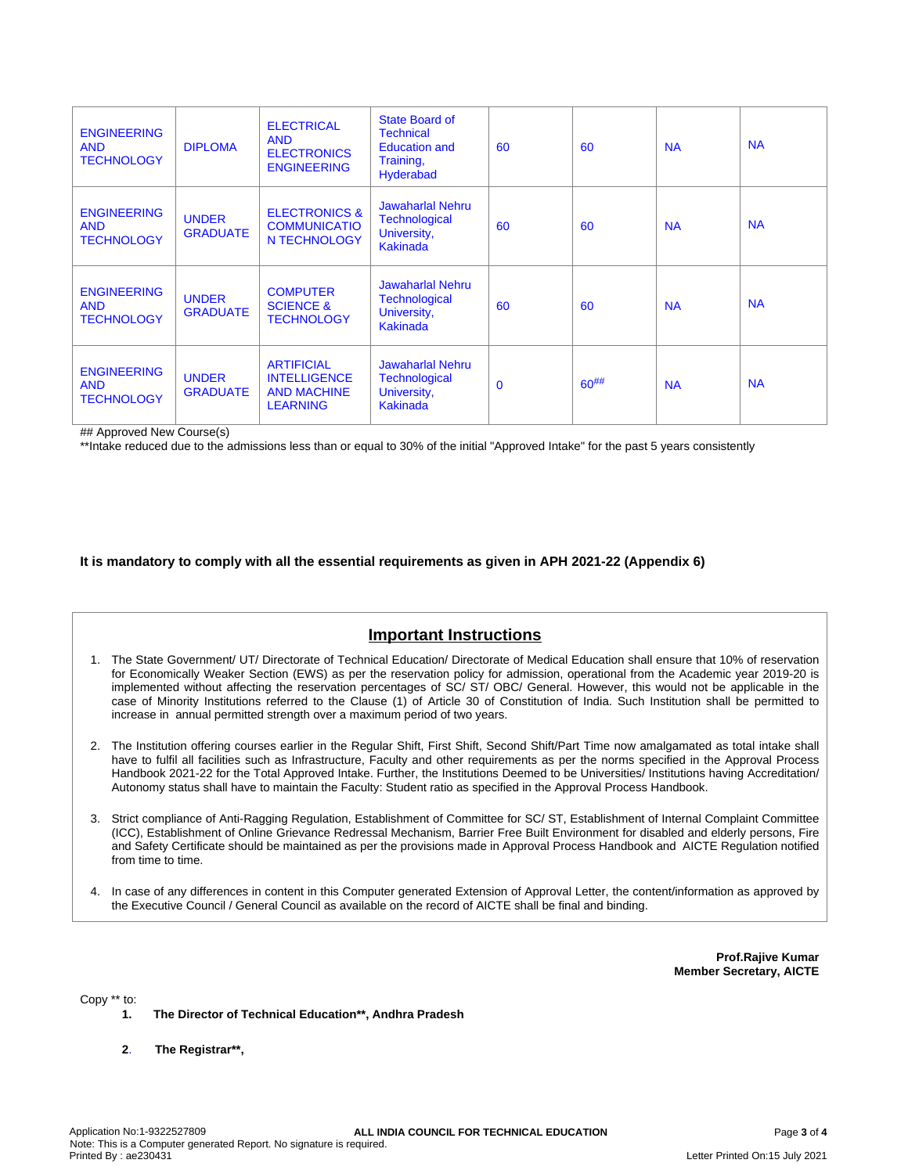| <b>ENGINEERING</b><br><b>AND</b><br><b>TECHNOLOGY</b> | <b>DIPLOMA</b>                  | <b>ELECTRICAL</b><br><b>AND</b><br><b>ELECTRONICS</b><br><b>ENGINEERING</b>       | State Board of<br><b>Technical</b><br><b>Education and</b><br>Training,<br>Hyderabad | 60           | 60         | <b>NA</b> | <b>NA</b> |
|-------------------------------------------------------|---------------------------------|-----------------------------------------------------------------------------------|--------------------------------------------------------------------------------------|--------------|------------|-----------|-----------|
| <b>ENGINEERING</b><br><b>AND</b><br><b>TECHNOLOGY</b> | <b>UNDER</b><br><b>GRADUATE</b> | <b>ELECTRONICS &amp;</b><br><b>COMMUNICATIO</b><br>N TECHNOLOGY                   | <b>Jawaharlal Nehru</b><br><b>Technological</b><br>University,<br><b>Kakinada</b>    | 60           | 60         | <b>NA</b> | <b>NA</b> |
| <b>ENGINEERING</b><br><b>AND</b><br><b>TECHNOLOGY</b> | <b>UNDER</b><br><b>GRADUATE</b> | <b>COMPUTER</b><br><b>SCIENCE &amp;</b><br><b>TECHNOLOGY</b>                      | <b>Jawaharlal Nehru</b><br>Technological<br>University,<br><b>Kakinada</b>           | 60           | 60         | <b>NA</b> | <b>NA</b> |
| <b>ENGINEERING</b><br><b>AND</b><br><b>TECHNOLOGY</b> | <b>UNDER</b><br><b>GRADUATE</b> | <b>ARTIFICIAL</b><br><b>INTELLIGENCE</b><br><b>AND MACHINE</b><br><b>LEARNING</b> | <b>Jawaharlal Nehru</b><br><b>Technological</b><br>University,<br><b>Kakinada</b>    | $\mathbf{0}$ | $60^{#}\%$ | <b>NA</b> | <b>NA</b> |

## Approved New Course(s)

\*\*Intake reduced due to the admissions less than or equal to 30% of the initial "Approved Intake" for the past 5 years consistently

#### **It is mandatory to comply with all the essential requirements as given in APH 2021-22 (Appendix 6)**

## **Important Instructions**

- 1. The State Government/ UT/ Directorate of Technical Education/ Directorate of Medical Education shall ensure that 10% of reservation for Economically Weaker Section (EWS) as per the reservation policy for admission, operational from the Academic year 2019-20 is implemented without affecting the reservation percentages of SC/ ST/ OBC/ General. However, this would not be applicable in the case of Minority Institutions referred to the Clause (1) of Article 30 of Constitution of India. Such Institution shall be permitted to increase in annual permitted strength over a maximum period of two years.
- 2. The Institution offering courses earlier in the Regular Shift, First Shift, Second Shift/Part Time now amalgamated as total intake shall have to fulfil all facilities such as Infrastructure, Faculty and other requirements as per the norms specified in the Approval Process Handbook 2021-22 for the Total Approved Intake. Further, the Institutions Deemed to be Universities/ Institutions having Accreditation/ Autonomy status shall have to maintain the Faculty: Student ratio as specified in the Approval Process Handbook.
- 3. Strict compliance of Anti-Ragging Regulation, Establishment of Committee for SC/ ST, Establishment of Internal Complaint Committee (ICC), Establishment of Online Grievance Redressal Mechanism, Barrier Free Built Environment for disabled and elderly persons, Fire and Safety Certificate should be maintained as per the provisions made in Approval Process Handbook and AICTE Regulation notified from time to time.
- 4. In case of any differences in content in this Computer generated Extension of Approval Letter, the content/information as approved by the Executive Council / General Council as available on the record of AICTE shall be final and binding.

**Prof.Rajive Kumar Member Secretary, AICTE**

Copy \*\* to:

- **1. The Director of Technical Education\*\*, Andhra Pradesh**
- **2**. **The Registrar\*\*,**